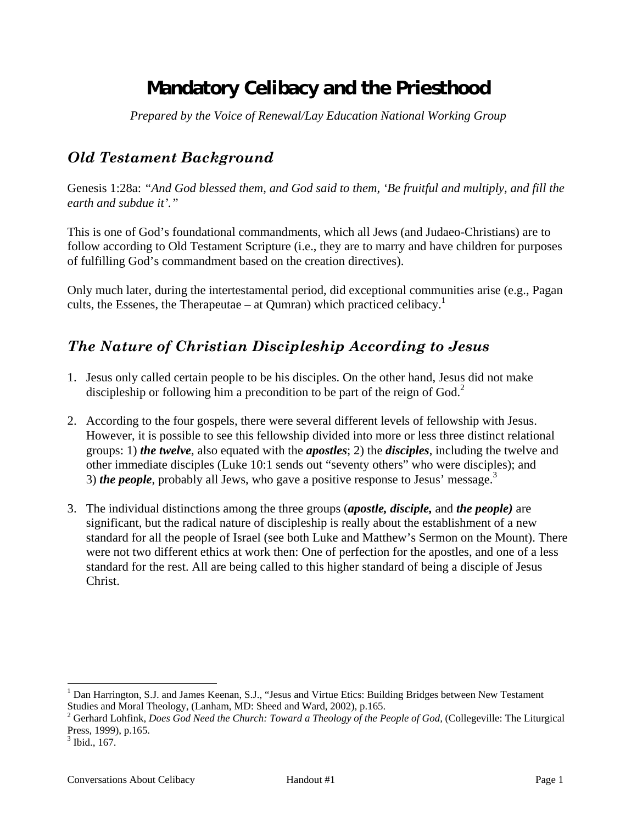# **Mandatory Celibacy and the Priesthood**

*Prepared by the Voice of Renewal/Lay Education National Working Group* 

### *Old Testament Background*

Genesis 1:28a: *"And God blessed them, and God said to them, 'Be fruitful and multiply, and fill the earth and subdue it'."* 

This is one of God's foundational commandments, which all Jews (and Judaeo-Christians) are to follow according to Old Testament Scripture (i.e., they are to marry and have children for purposes of fulfilling God's commandment based on the creation directives).

Only much later, during the intertestamental period, did exceptional communities arise (e.g., Pagan cults, the Essenes, the Therapeutae – at Qumran) which practiced celibacy.<sup>1</sup>

#### *The Nature of Christian Discipleship According to Jesus*

- 1. Jesus only called certain people to be his disciples. On the other hand, Jesus did not make discipleship or following him a precondition to be part of the reign of  $God<sup>2</sup>$ .
- 2. According to the four gospels, there were several different levels of fellowship with Jesus. However, it is possible to see this fellowship divided into more or less three distinct relational groups: 1) *the twelve*, also equated with the *apostles*; 2) the *disciples*, including the twelve and other immediate disciples (Luke 10:1 sends out "seventy others" who were disciples); and 3) *the people*, probably all Jews, who gave a positive response to Jesus' message.<sup>3</sup>
- 3. The individual distinctions among the three groups (*apostle, disciple,* and *the people)* are significant, but the radical nature of discipleship is really about the establishment of a new standard for all the people of Israel (see both Luke and Matthew's Sermon on the Mount). There were not two different ethics at work then: One of perfection for the apostles, and one of a less standard for the rest. All are being called to this higher standard of being a disciple of Jesus Christ.

l

<sup>&</sup>lt;sup>1</sup> Dan Harrington, S.J. and James Keenan, S.J., "Jesus and Virtue Etics: Building Bridges between New Testament Studies and Moral Theology, (Lanham, MD: Sheed and Ward, 2002), p.165.

<sup>&</sup>lt;sup>2</sup> Gerhard Lohfink, *Does God Need the Church: Toward a Theology of the People of God*, (Collegeville: The Liturgical Press, 1999), p.165.

<sup>3</sup> Ibid., 167.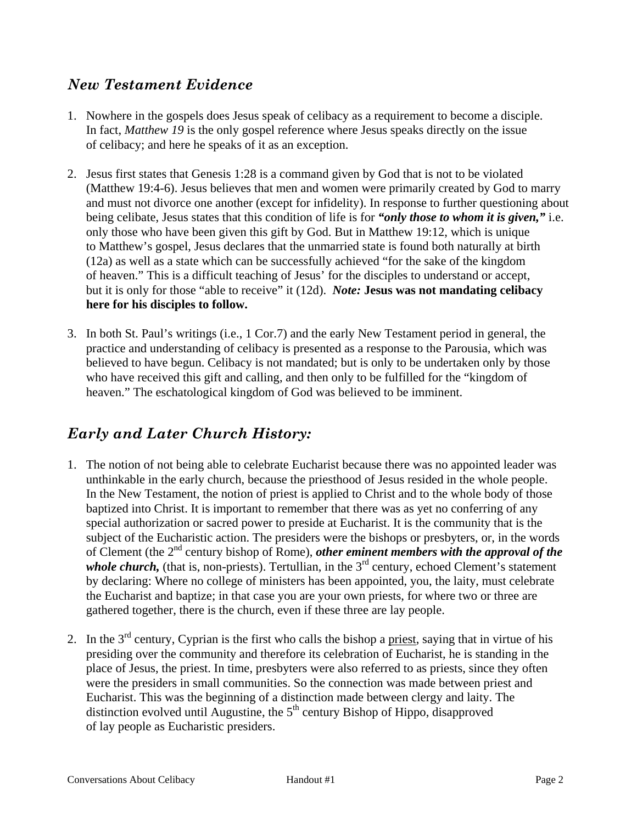## *New Testament Evidence*

- 1. Nowhere in the gospels does Jesus speak of celibacy as a requirement to become a disciple. In fact, *Matthew 19* is the only gospel reference where Jesus speaks directly on the issue of celibacy; and here he speaks of it as an exception.
- 2. Jesus first states that Genesis 1:28 is a command given by God that is not to be violated (Matthew 19:4-6). Jesus believes that men and women were primarily created by God to marry and must not divorce one another (except for infidelity). In response to further questioning about being celibate, Jesus states that this condition of life is for *"only those to whom it is given,"* i.e. only those who have been given this gift by God. But in Matthew 19:12, which is unique to Matthew's gospel, Jesus declares that the unmarried state is found both naturally at birth (12a) as well as a state which can be successfully achieved "for the sake of the kingdom of heaven." This is a difficult teaching of Jesus' for the disciples to understand or accept, but it is only for those "able to receive" it (12d). *Note:* **Jesus was not mandating celibacy here for his disciples to follow.**
- 3. In both St. Paul's writings (i.e., 1 Cor.7) and the early New Testament period in general, the practice and understanding of celibacy is presented as a response to the Parousia, which was believed to have begun. Celibacy is not mandated; but is only to be undertaken only by those who have received this gift and calling, and then only to be fulfilled for the "kingdom of heaven." The eschatological kingdom of God was believed to be imminent.

## *Early and Later Church History:*

- 1. The notion of not being able to celebrate Eucharist because there was no appointed leader was unthinkable in the early church, because the priesthood of Jesus resided in the whole people. In the New Testament, the notion of priest is applied to Christ and to the whole body of those baptized into Christ. It is important to remember that there was as yet no conferring of any special authorization or sacred power to preside at Eucharist. It is the community that is the subject of the Eucharistic action. The presiders were the bishops or presbyters, or, in the words of Clement (the 2nd century bishop of Rome), *other eminent members with the approval of the whole church*, (that is, non-priests). Tertullian, in the  $3<sup>rd</sup>$  century, echoed Clement's statement by declaring: Where no college of ministers has been appointed, you, the laity, must celebrate the Eucharist and baptize; in that case you are your own priests, for where two or three are gathered together, there is the church, even if these three are lay people.
- 2. In the  $3<sup>rd</sup>$  century, Cyprian is the first who calls the bishop a priest, saying that in virtue of his presiding over the community and therefore its celebration of Eucharist, he is standing in the place of Jesus, the priest. In time, presbyters were also referred to as priests, since they often were the presiders in small communities. So the connection was made between priest and Eucharist. This was the beginning of a distinction made between clergy and laity. The distinction evolved until Augustine, the 5<sup>th</sup> century Bishop of Hippo, disapproved of lay people as Eucharistic presiders.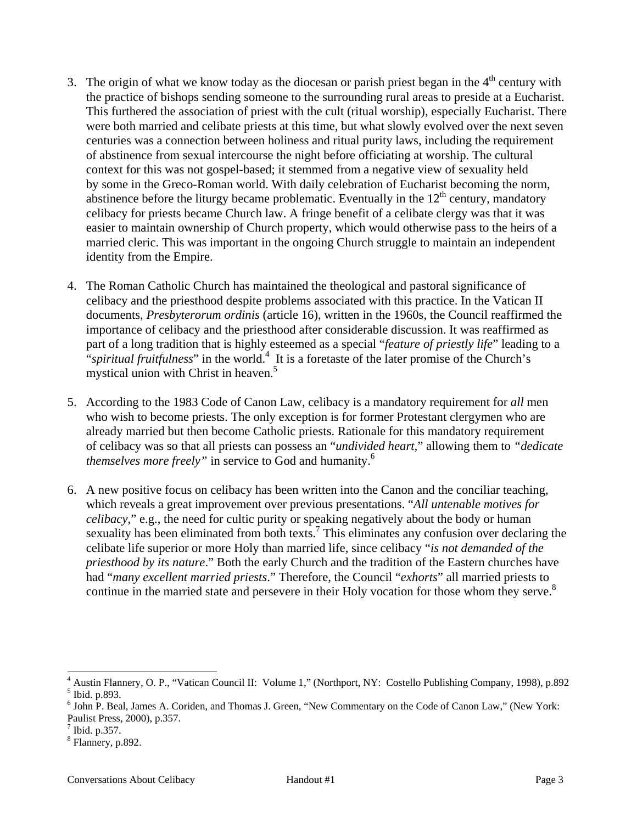- 3. The origin of what we know today as the diocesan or parish priest began in the  $4<sup>th</sup>$  century with the practice of bishops sending someone to the surrounding rural areas to preside at a Eucharist. This furthered the association of priest with the cult (ritual worship), especially Eucharist. There were both married and celibate priests at this time, but what slowly evolved over the next seven centuries was a connection between holiness and ritual purity laws, including the requirement of abstinence from sexual intercourse the night before officiating at worship. The cultural context for this was not gospel-based; it stemmed from a negative view of sexuality held by some in the Greco-Roman world. With daily celebration of Eucharist becoming the norm, abstinence before the liturgy became problematic. Eventually in the  $12<sup>th</sup>$  century, mandatory celibacy for priests became Church law. A fringe benefit of a celibate clergy was that it was easier to maintain ownership of Church property, which would otherwise pass to the heirs of a married cleric. This was important in the ongoing Church struggle to maintain an independent identity from the Empire.
- 4. The Roman Catholic Church has maintained the theological and pastoral significance of celibacy and the priesthood despite problems associated with this practice. In the Vatican II documents, *Presbyterorum ordinis* (article 16), written in the 1960s, the Council reaffirmed the importance of celibacy and the priesthood after considerable discussion. It was reaffirmed as part of a long tradition that is highly esteemed as a special "*feature of priestly life*" leading to a "spiritual fruitfulness" in the world.<sup>4</sup> It is a foretaste of the later promise of the Church's mystical union with Christ in heaven.<sup>5</sup>
- 5. According to the 1983 Code of Canon Law, celibacy is a mandatory requirement for *all* men who wish to become priests. The only exception is for former Protestant clergymen who are already married but then become Catholic priests. Rationale for this mandatory requirement of celibacy was so that all priests can possess an "*undivided heart,*" allowing them to *"dedicate themselves more freely*" in service to God and humanity.<sup>6</sup>
- 6. A new positive focus on celibacy has been written into the Canon and the conciliar teaching, which reveals a great improvement over previous presentations. "*All untenable motives for celibacy*," e.g., the need for cultic purity or speaking negatively about the body or human sexuality has been eliminated from both texts.<sup>7</sup> This eliminates any confusion over declaring the celibate life superior or more Holy than married life, since celibacy "*is not demanded of the priesthood by its nature*." Both the early Church and the tradition of the Eastern churches have had "*many excellent married priests*." Therefore, the Council "*exhorts*" all married priests to continue in the married state and persevere in their Holy vocation for those whom they serve.<sup>8</sup>

<sup>4&</sup>lt;br>Austin Flannery, O. P., "Vatican Council II: Volume 1," (Northport, NY: Costello Publishing Company, 1998), p.892  $<sup>5</sup>$  Ibid. p.893.</sup>

<sup>&</sup>lt;sup>6</sup> John P. Beal, James A. Coriden, and Thomas J. Green, "New Commentary on the Code of Canon Law," (New York: Paulist Press, 2000), p.357.

 $<sup>7</sup>$  Ibid. p.357.</sup>

<sup>8</sup> Flannery, p.892.